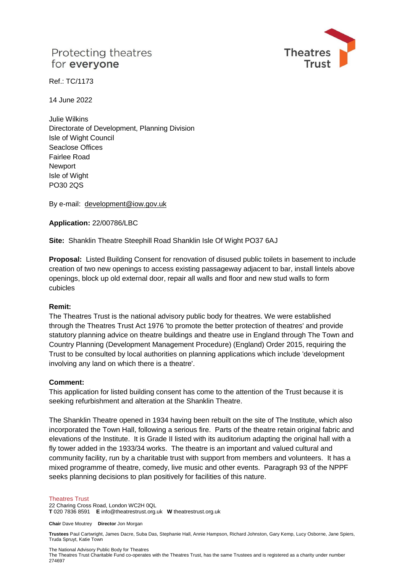# Protecting theatres for everyone



Ref.: TC/1173

14 June 2022

Julie Wilkins Directorate of Development, Planning Division Isle of Wight Council Seaclose Offices Fairlee Road **Newport** Isle of Wight PO30 2QS

By e-mail: [development@iow.gov.uk](mailto:development@iow.gov.uk)

**Application:** 22/00786/LBC

**Site:** Shanklin Theatre Steephill Road Shanklin Isle Of Wight PO37 6AJ

**Proposal:** Listed Building Consent for renovation of disused public toilets in basement to include creation of two new openings to access existing passageway adjacent to bar, install lintels above openings, block up old external door, repair all walls and floor and new stud walls to form cubicles

### **Remit:**

The Theatres Trust is the national advisory public body for theatres. We were established through the Theatres Trust Act 1976 'to promote the better protection of theatres' and provide statutory planning advice on theatre buildings and theatre use in England through The Town and Country Planning (Development Management Procedure) (England) Order 2015, requiring the Trust to be consulted by local authorities on planning applications which include 'development involving any land on which there is a theatre'.

### **Comment:**

This application for listed building consent has come to the attention of the Trust because it is seeking refurbishment and alteration at the Shanklin Theatre.

The Shanklin Theatre opened in 1934 having been rebuilt on the site of The Institute, which also incorporated the Town Hall, following a serious fire. Parts of the theatre retain original fabric and elevations of the Institute. It is Grade II listed with its auditorium adapting the original hall with a fly tower added in the 1933/34 works. The theatre is an important and valued cultural and community facility, run by a charitable trust with support from members and volunteers. It has a mixed programme of theatre, comedy, live music and other events. Paragraph 93 of the NPPF seeks planning decisions to plan positively for facilities of this nature.

#### Theatres Trust

22 Charing Cross Road, London WC2H 0QL **T** 020 7836 8591 **E** info@theatrestrust.org.uk **W** theatrestrust.org.uk

**Chair** Dave Moutrey **Director** Jon Morgan

**Trustees** Paul Cartwright, James Dacre, Suba Das, Stephanie Hall, Annie Hampson, Richard Johnston, Gary Kemp, Lucy Osborne, Jane Spiers, Truda Spruyt, Katie Town

The National Advisory Public Body for Theatres

The Theatres Trust Charitable Fund co-operates with the Theatres Trust, has the same Trustees and is registered as a charity under number 274697